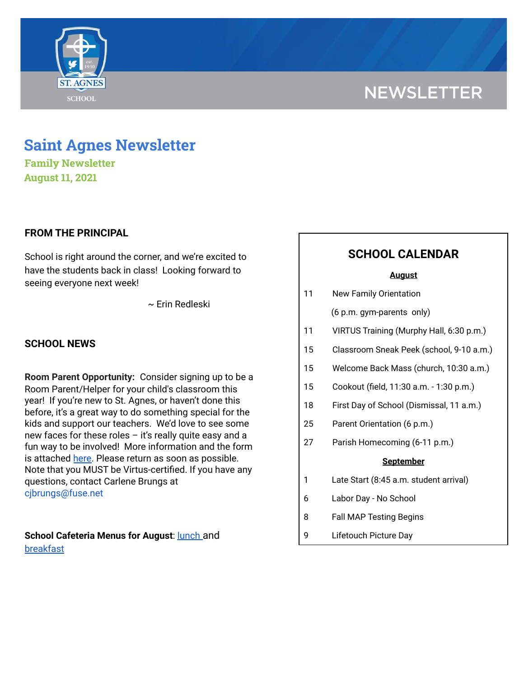# **NEWSLETTER**



**Family Newsletter August 11, 2021**

# **FROM THE PRINCIPAL**

School is right around the corner, and we're excited to have the students back in class! Looking forward to seeing everyone next week!

~ Erin Redleski

# **SCHOOL NEWS**

**Room Parent Opportunity:** Consider signing up to be a Room Parent/Helper for your child's classroom this year! If you're new to St. Agnes, or haven't done this before, it's a great way to do something special for the kids and support our teachers. We'd love to see some new faces for these roles  $-$  it's really quite easy and a fun way to be involved! More information and the form is attached [here.](https://school.saintagnes.com/wp-content/uploads/2021/08/Room-Parent-Signup-2021-22_Final.pdf) Please return as soon as possible. Note that you MUST be Virtus-certified. If you have any questions, contact Carlene Brungs at cjbrungs@fuse.net

**School Cafeteria Menus for August**: [lunch](https://school.saintagnes.com/wp-content/uploads/2021/08/Aug-ES-Menu.pdf) and [breakfast](https://school.saintagnes.com/wp-content/uploads/2021/08/Aug-Breakfast-Menu.pdf)

# **SCHOOL CALENDAR**

#### **August**

| 11 | <b>New Family Orientation</b>            |
|----|------------------------------------------|
|    | (6 p.m. gym-parents only)                |
| 11 | VIRTUS Training (Murphy Hall, 6:30 p.m.) |
| 15 | Classroom Sneak Peek (school, 9-10 a.m.) |
| 15 | Welcome Back Mass (church, 10:30 a.m.)   |
| 15 | Cookout (field, 11:30 a.m. - 1:30 p.m.)  |
| 18 | First Day of School (Dismissal, 11 a.m.) |
| 25 | Parent Orientation (6 p.m.)              |
| 27 | Parish Homecoming (6-11 p.m.)            |
|    | <b>September</b>                         |
| 1  | Late Start (8:45 a.m. student arrival)   |
| 6  | Labor Day - No School                    |
| 8  | <b>Fall MAP Testing Begins</b>           |
| 9  | Lifetouch Picture Day                    |